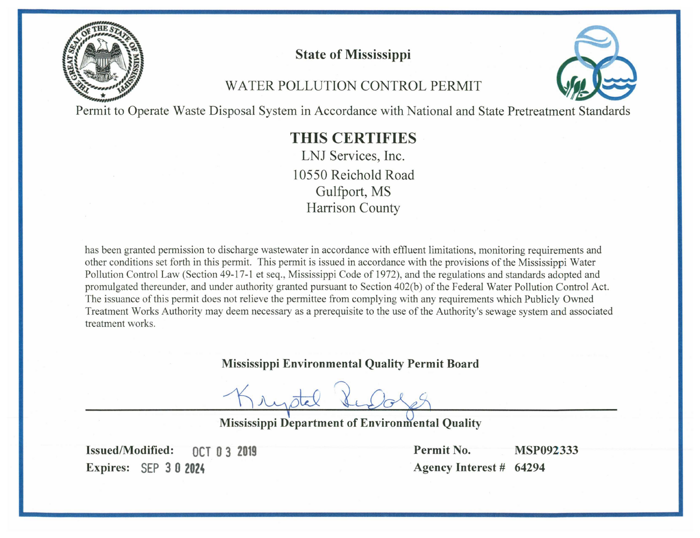

# **State of Mississippi**

# WATER POLLUTION CONTROL PERMIT



Permit to Operate Waste Disposal System in Accordance with National and State Pretreatment Standards

# **THIS CERTIFIES**

LNJ Services, Inc. 10550 Reichold Road Gulfport, MS **Harrison County** 

has been granted permission to discharge wastewater in accordance with effluent limitations, monitoring requirements and other conditions set forth in this permit. This permit is issued in accordance with the provisions of the Mississippi Water Pollution Control Law (Section 49-17-1 et seq., Mississippi Code of 1972), and the regulations and standards adopted and promulgated thereunder, and under authority granted pursuant to Section 402(b) of the Federal Water Pollution Control Act. The issuance of this permit does not relieve the permittee from complying with any requirements which Publicly Owned Treatment Works Authority may deem necessary as a prerequisite to the use of the Authority's sewage system and associated treatment works.

## **Mississippi Environmental Quality Permit Board**

**Mississippi Department of Environmental Quality** 

**Issued/Modified: OCT 0 3 2019** Expires: SEP 3 0 2024

Permit No. **MSP092333** Agency Interest # 64294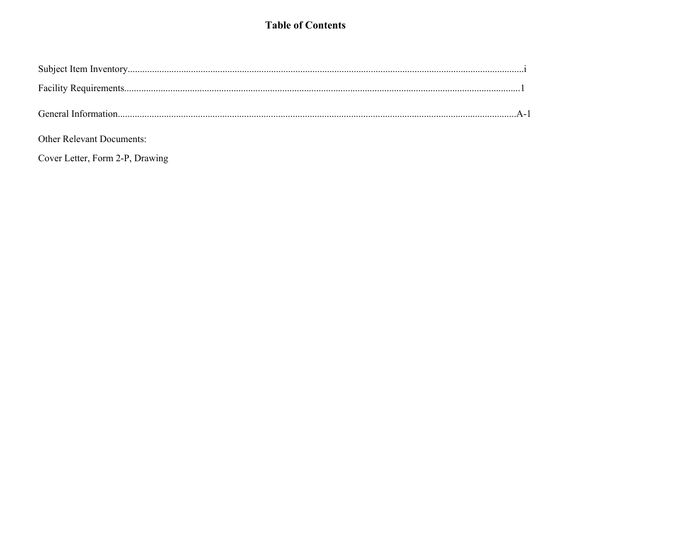### **Table of Contents**

| General Information |  |
|---------------------|--|

Other Relevant Documents:

Cover Letter, Form 2-P, Drawing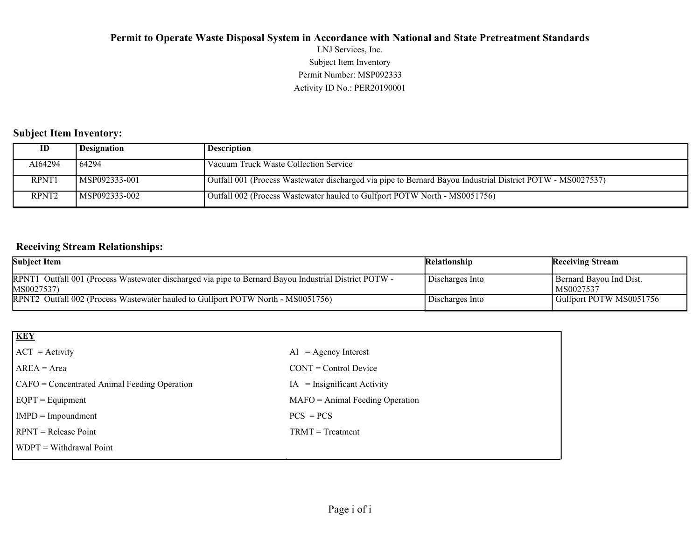Activity ID No.: PER20190001 Permit Number: MSP092333 Subject Item Inventory LNJ Services, Inc.

### **Subject Item Inventory:**

| ID                | Designation    | Description                                                                                                |
|-------------------|----------------|------------------------------------------------------------------------------------------------------------|
| AI64294           | 164294         | Vacuum Truck Waste Collection Service                                                                      |
| RPNT1             | MSP092333-001  | Outfall 001 (Process Wastewater discharged via pipe to Bernard Bayou Industrial District POTW - MS0027537) |
| RPNT <sub>2</sub> | IMSP092333-002 | Outfall 002 (Process Wastewater hauled to Gulfport POTW North - MS0051756)                                 |

### **Receiving Stream Relationships:**

| <b>Subject Item</b>                                                                                                 | <b>Relationship</b> | <b>Receiving Stream</b>                |
|---------------------------------------------------------------------------------------------------------------------|---------------------|----------------------------------------|
| RPNT1 Outfall 001 (Process Wastewater discharged via pipe to Bernard Bayou Industrial District POTW -<br>MS0027537) | Discharges Into     | Bernard Bayou Ind Dist.<br>  MS0027537 |
| RPNT2 Outfall 002 (Process Wastewater hauled to Gulfport POTW North - MS0051756)                                    | Discharges Into     | Gulfport POTW MS0051756                |

| <b>KEY</b>                                   |                                   |
|----------------------------------------------|-----------------------------------|
| $ ACT = Activity$                            | $AI = Agency Interest$            |
| $AREA = Area$                                | $CONT = Control$ Device           |
| CAFO = Concentrated Animal Feeding Operation | $IA = Insignificant Activity$     |
| $EQPT = Equipment$                           | $MAFO = Animal Feeding Operation$ |
| $IMPD = Impoundment$                         | $PCS = PCs$                       |
| $RPNT = Release Point$                       | $TRMT = Treatment$                |
| $\forall$ WDPT = Withdrawal Point            |                                   |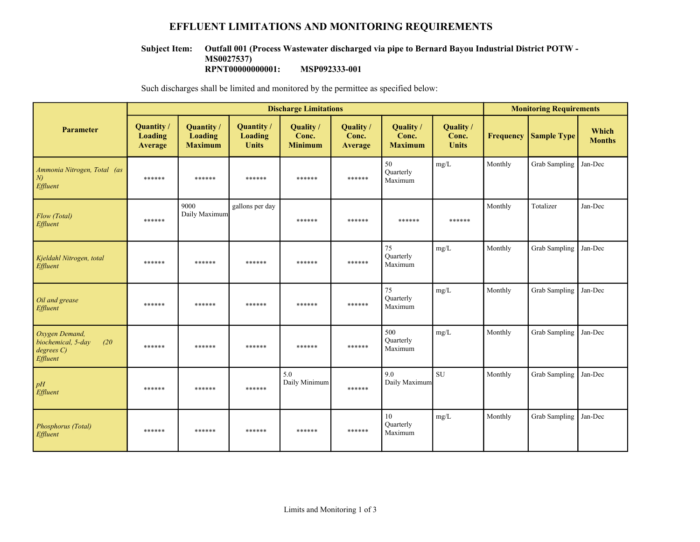### **EFFLUENT LIMITATIONS AND MONITORING REQUIREMENTS**

#### **Outfall 001 (Process Wastewater discharged via pipe to Bernard Bayou Industrial District POTW - Subject Item:**

**MS0027537)**

**RPNT00000000001: MSP092333-001**

Such discharges shall be limited and monitored by the permittee as specified below:

|                                                                       |                                 |                                         |                                       | <b>Discharge Limitations</b>         |                               |                                      |                                    | <b>Monitoring Requirements</b> |                    |                        |
|-----------------------------------------------------------------------|---------------------------------|-----------------------------------------|---------------------------------------|--------------------------------------|-------------------------------|--------------------------------------|------------------------------------|--------------------------------|--------------------|------------------------|
| <b>Parameter</b>                                                      | Quantity/<br>Loading<br>Average | Quantity /<br>Loading<br><b>Maximum</b> | Quantity /<br>Loading<br><b>Units</b> | Quality /<br>Conc.<br><b>Minimum</b> | Quality /<br>Conc.<br>Average | Quality /<br>Conc.<br><b>Maximum</b> | Quality /<br>Conc.<br><b>Units</b> | <b>Frequency</b>               | <b>Sample Type</b> | Which<br><b>Months</b> |
| Ammonia Nitrogen, Total (as<br>N<br>Effluent                          | ******                          | ******                                  | ******                                | ******                               | ******                        | 50<br>Quarterly<br>Maximum           | mg/L                               | Monthly                        | Grab Sampling      | Jan-Dec                |
| Flow (Total)<br>Effluent                                              | ******                          | 9000<br>Daily Maximum                   | gallons per day                       | ******                               | ******                        | ******                               | ******                             | Monthly                        | Totalizer          | Jan-Dec                |
| Kjeldahl Nitrogen, total<br>Effluent                                  | ******                          | ******                                  | ******                                | ******                               | ******                        | 75<br>Quarterly<br>Maximum           | mg/L                               | Monthly                        | Grab Sampling      | Jan-Dec                |
| Oil and grease<br>Effluent                                            | ******                          | ******                                  | ******                                | ******                               | ******                        | 75<br>Quarterly<br>Maximum           | mg/L                               | Monthly                        | Grab Sampling      | Jan-Dec                |
| Oxygen Demand,<br>biochemical, 5-day<br>(20)<br>degree C)<br>Effluent | ******                          | ******                                  | ******                                | ******                               | ******                        | 500<br>Quarterly<br>Maximum          | mg/L                               | Monthly                        | Grab Sampling      | Jan-Dec                |
| pH<br>Effluent                                                        | ******                          | ******                                  | ******                                | 5.0<br>Daily Minimum                 | ******                        | 9.0<br>Daily Maximum                 | ${\rm SU}$                         | Monthly                        | Grab Sampling      | Jan-Dec                |
| Phosphorus (Total)<br>Effluent                                        | ******                          | ******                                  | ******                                | ******                               | ******                        | 10<br>Quarterly<br>Maximum           | mg/L                               | Monthly                        | Grab Sampling      | Jan-Dec                |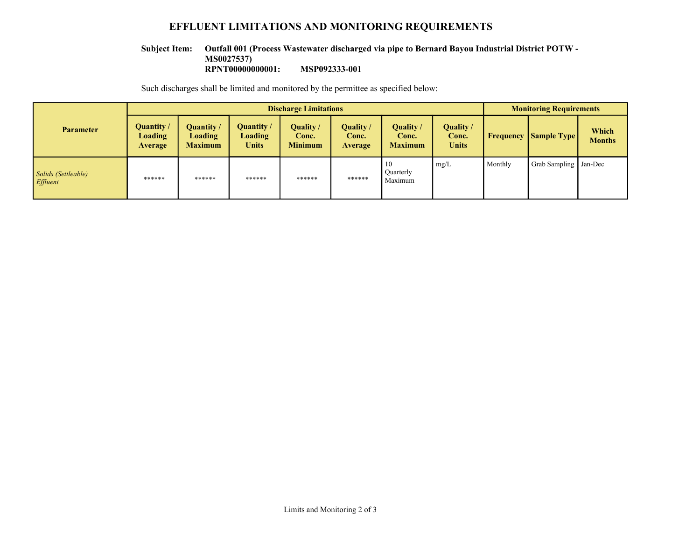### **EFFLUENT LIMITATIONS AND MONITORING REQUIREMENTS**

#### **Outfall 001 (Process Wastewater discharged via pipe to Bernard Bayou Industrial District POTW - Subject Item:**

**MS0027537)**

**RPNT00000000001: MSP092333-001**

Such discharges shall be limited and monitored by the permittee as specified below:

|                                        | <b>Discharge Limitations</b>                   |                                                |                                                     |                                      |                               |                                             |                             |           | <b>Monitoring Requirements</b> |                        |  |
|----------------------------------------|------------------------------------------------|------------------------------------------------|-----------------------------------------------------|--------------------------------------|-------------------------------|---------------------------------------------|-----------------------------|-----------|--------------------------------|------------------------|--|
| <b>Parameter</b>                       | Quantity /<br><b>Loading</b><br><b>Average</b> | Quantity /<br><b>Loading</b><br><b>Maximum</b> | <b>Quantity</b> /<br><b>Loading</b><br><b>Units</b> | Quality /<br>Conc.<br><b>Minimum</b> | Quality /<br>Conc.<br>Average | <b>Quality</b> /<br>Conc.<br><b>Maximum</b> | Quality /<br>Conc.<br>Units | Frequency | <b>Sample Type</b>             | Which<br><b>Months</b> |  |
| Solids (Settleable)<br><i>Effluent</i> | ******                                         | ******                                         | ******                                              | ******                               | ******                        | -10<br>Quarterly<br>Maximum                 | mg/L                        | Monthly   | Grab Sampling   Jan-Dec        |                        |  |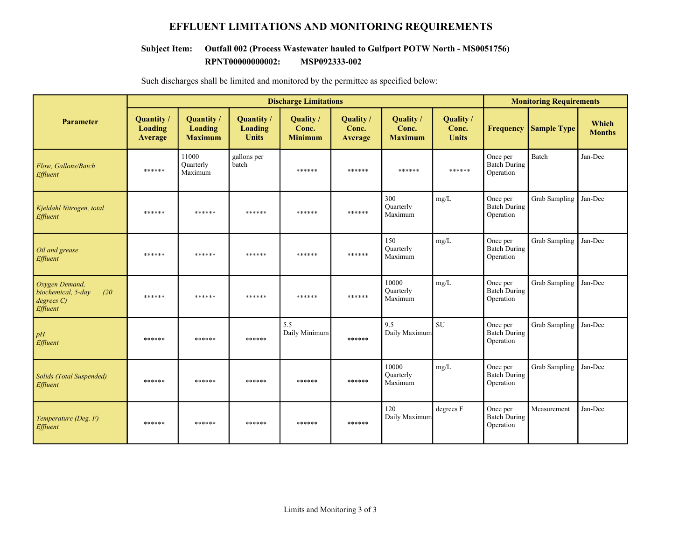### **EFFLUENT LIMITATIONS AND MONITORING REQUIREMENTS**

#### **RPNT00000000002: MSP092333-002 Subject Item: Outfall 002 (Process Wastewater hauled to Gulfport POTW North - MS0051756)**

|                                                                     |                                              | <b>Discharge Limitations</b>                   |                                                     |                                      |                               |                                             | <b>Monitoring Requirements</b>     |                                              |                      |                        |  |
|---------------------------------------------------------------------|----------------------------------------------|------------------------------------------------|-----------------------------------------------------|--------------------------------------|-------------------------------|---------------------------------------------|------------------------------------|----------------------------------------------|----------------------|------------------------|--|
| <b>Parameter</b>                                                    | <b>Quantity</b><br>Loading<br><b>Average</b> | Quantity /<br><b>Loading</b><br><b>Maximum</b> | <b>Quantity</b> /<br><b>Loading</b><br><b>Units</b> | Quality /<br>Conc.<br><b>Minimum</b> | Quality /<br>Conc.<br>Average | <b>Ouality</b> /<br>Conc.<br><b>Maximum</b> | Quality /<br>Conc.<br><b>Units</b> | <b>Frequency</b>                             | <b>Sample Type</b>   | Which<br><b>Months</b> |  |
| Flow, Gallons/Batch<br>Effluent                                     | ******                                       | 11000<br>Ouarterly<br>Maximum                  | gallons per<br>batch                                | ******                               | ******                        | ******                                      | ******                             | Once per<br><b>Batch During</b><br>Operation | <b>Batch</b>         | Jan-Dec                |  |
| Kjeldahl Nitrogen, total<br>Effluent                                | ******                                       | ******                                         | ******                                              | ******                               | ******                        | 300<br>Quarterly<br>Maximum                 | mg/L                               | Once per<br><b>Batch During</b><br>Operation | Grab Sampling        | Jan-Dec                |  |
| Oil and grease<br>Effluent                                          | ******                                       | ******                                         | ******                                              | ******                               | ******                        | 150<br>Quarterly<br>Maximum                 | mg/L                               | Once per<br><b>Batch During</b><br>Operation | Grab Sampling        | Jan-Dec                |  |
| Oxygen Demand,<br>biochemical, 5-day<br>(20)<br>degreeC<br>Effluent | ******                                       | ******                                         | ******                                              | ******                               | ******                        | 10000<br>Ouarterly<br>Maximum               | mg/L                               | Once per<br><b>Batch During</b><br>Operation | <b>Grab Sampling</b> | Jan-Dec                |  |
| pH<br>Effluent                                                      | ******                                       | ******                                         | ******                                              | 5.5<br>Daily Minimum                 | ******                        | 9.5<br>Daily Maximum                        | <b>SU</b>                          | Once per<br><b>Batch During</b><br>Operation | Grab Sampling        | Jan-Dec                |  |
| <b>Solids (Total Suspended)</b><br>Effluent                         | ******                                       | ******                                         | ******                                              | ******                               | ******                        | 10000<br>Ouarterly<br>Maximum               | mg/L                               | Once per<br><b>Batch During</b><br>Operation | Grab Sampling        | Jan-Dec                |  |
| Temperature (Deg. F)<br>Effluent                                    | ******                                       | ******                                         | ******                                              | ******                               | ******                        | 120<br>Daily Maximum                        | degrees F                          | Once per<br><b>Batch During</b><br>Operation | Measurement          | Jan-Dec                |  |

Such discharges shall be limited and monitored by the permittee as specified below: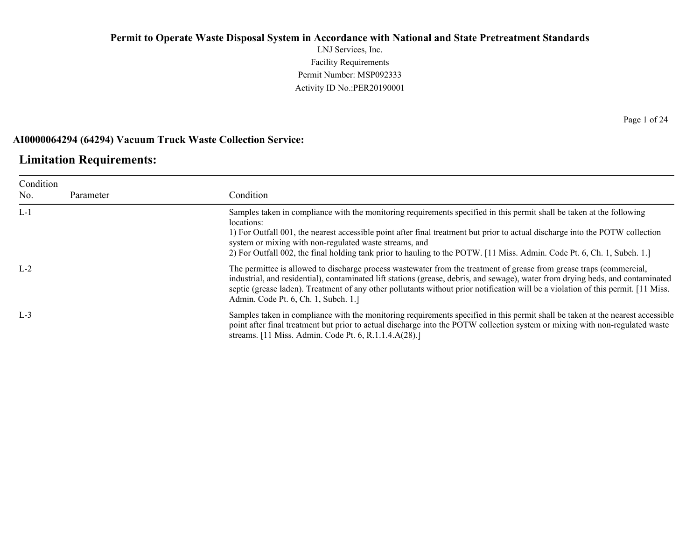LNJ Services, Inc. Facility Requirements Permit Number: MSP092333 Activity ID No.:PER20190001

### **AI0000064294 (64294) Vacuum Truck Waste Collection Service:**

### **Limitation Requirements:**

| Condition<br>No. | Parameter | Condition                                                                                                                                                                                                                                                                                                                                                                                                                                                 |
|------------------|-----------|-----------------------------------------------------------------------------------------------------------------------------------------------------------------------------------------------------------------------------------------------------------------------------------------------------------------------------------------------------------------------------------------------------------------------------------------------------------|
| $L-1$            |           | Samples taken in compliance with the monitoring requirements specified in this permit shall be taken at the following<br>locations:<br>1) For Outfall 001, the nearest accessible point after final treatment but prior to actual discharge into the POTW collection<br>system or mixing with non-regulated waste streams, and<br>2) For Outfall 002, the final holding tank prior to hauling to the POTW. [11 Miss. Admin. Code Pt. 6, Ch. 1, Subch. 1.] |
| $L-2$            |           | The permittee is allowed to discharge process was tewater from the treatment of grease from grease traps (commercial,<br>industrial, and residential), contaminated lift stations (grease, debris, and sewage), water from drying beds, and contaminated<br>septic (grease laden). Treatment of any other pollutants without prior notification will be a violation of this permit. [11 Miss.]<br>Admin. Code Pt. 6, Ch. 1, Subch. 1.]                    |
| $L-3$            |           | Samples taken in compliance with the monitoring requirements specified in this permit shall be taken at the nearest accessible<br>point after final treatment but prior to actual discharge into the POTW collection system or mixing with non-regulated waste<br>streams. [11 Miss. Admin. Code Pt. 6, R.1.1.4.A(28).]                                                                                                                                   |

Page 1 of 24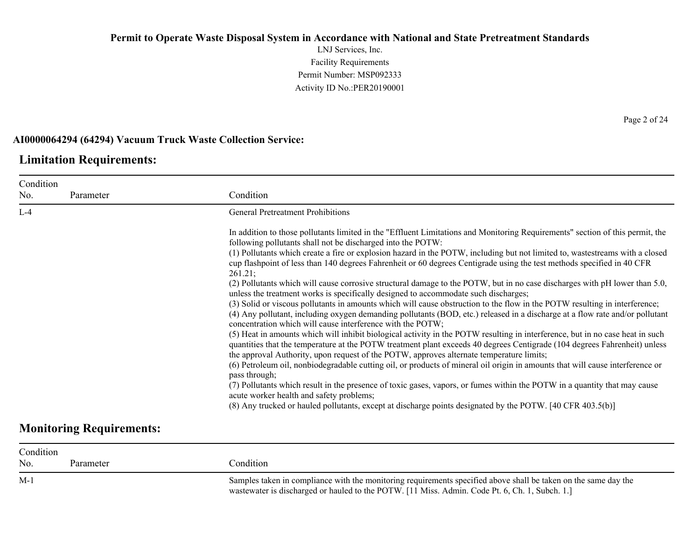LNJ Services, Inc. Facility Requirements Permit Number: MSP092333 Activity ID No.:PER20190001

### **AI0000064294 (64294) Vacuum Truck Waste Collection Service:**

### **Limitation Requirements:**

| No.   | Parameter                       | Condition                                                                                                                                                                                                                                                                                                                                                                                                                                                                                                                                                                                                                                                                                                                                                                                                                                                                                                                                                                                                                                                                                                                                                                                                                                                                                                                                                                                                                                                                                                                                                                                                                                                                                                                                                                                                             |
|-------|---------------------------------|-----------------------------------------------------------------------------------------------------------------------------------------------------------------------------------------------------------------------------------------------------------------------------------------------------------------------------------------------------------------------------------------------------------------------------------------------------------------------------------------------------------------------------------------------------------------------------------------------------------------------------------------------------------------------------------------------------------------------------------------------------------------------------------------------------------------------------------------------------------------------------------------------------------------------------------------------------------------------------------------------------------------------------------------------------------------------------------------------------------------------------------------------------------------------------------------------------------------------------------------------------------------------------------------------------------------------------------------------------------------------------------------------------------------------------------------------------------------------------------------------------------------------------------------------------------------------------------------------------------------------------------------------------------------------------------------------------------------------------------------------------------------------------------------------------------------------|
| $L-4$ |                                 | <b>General Pretreatment Prohibitions</b>                                                                                                                                                                                                                                                                                                                                                                                                                                                                                                                                                                                                                                                                                                                                                                                                                                                                                                                                                                                                                                                                                                                                                                                                                                                                                                                                                                                                                                                                                                                                                                                                                                                                                                                                                                              |
|       |                                 | In addition to those pollutants limited in the "Effluent Limitations and Monitoring Requirements" section of this permit, the<br>following pollutants shall not be discharged into the POTW:<br>(1) Pollutants which create a fire or explosion hazard in the POTW, including but not limited to, wastestreams with a closed<br>cup flashpoint of less than 140 degrees Fahrenheit or 60 degrees Centigrade using the test methods specified in 40 CFR<br>261.21;<br>(2) Pollutants which will cause corrosive structural damage to the POTW, but in no case discharges with pH lower than 5.0,<br>unless the treatment works is specifically designed to accommodate such discharges;<br>(3) Solid or viscous pollutants in amounts which will cause obstruction to the flow in the POTW resulting in interference;<br>(4) Any pollutant, including oxygen demanding pollutants (BOD, etc.) released in a discharge at a flow rate and/or pollutant<br>concentration which will cause interference with the POTW;<br>(5) Heat in amounts which will inhibit biological activity in the POTW resulting in interference, but in no case heat in such<br>quantities that the temperature at the POTW treatment plant exceeds 40 degrees Centigrade (104 degrees Fahrenheit) unless<br>the approval Authority, upon request of the POTW, approves alternate temperature limits;<br>(6) Petroleum oil, nonbiodegradable cutting oil, or products of mineral oil origin in amounts that will cause interference or<br>pass through;<br>(7) Pollutants which result in the presence of toxic gases, vapors, or fumes within the POTW in a quantity that may cause<br>acute worker health and safety problems;<br>(8) Any trucked or hauled pollutants, except at discharge points designated by the POTW. [40 CFR 403.5(b)] |
|       | <b>Monitoring Requirements:</b> |                                                                                                                                                                                                                                                                                                                                                                                                                                                                                                                                                                                                                                                                                                                                                                                                                                                                                                                                                                                                                                                                                                                                                                                                                                                                                                                                                                                                                                                                                                                                                                                                                                                                                                                                                                                                                       |

| Condition |           |                                                                                                                                                                                                                   |
|-----------|-----------|-------------------------------------------------------------------------------------------------------------------------------------------------------------------------------------------------------------------|
| No.       | Parameter | Condition                                                                                                                                                                                                         |
| M-1       |           | Samples taken in compliance with the monitoring requirements specified above shall be taken on the same day the<br>wastewater is discharged or hauled to the POTW. [11 Miss. Admin. Code Pt. 6, Ch. 1, Subch. 1.] |

Page 2 of 24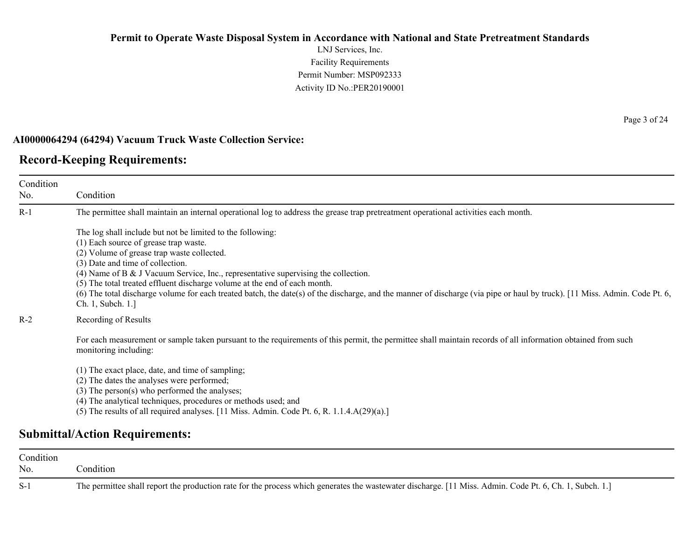LNJ Services, Inc. Facility Requirements Permit Number: MSP092333 Activity ID No.:PER20190001

#### **AI0000064294 (64294) Vacuum Truck Waste Collection Service:**

### **Record-Keeping Requirements:**

Condition No. Condition R-1 The permittee shall maintain an internal operational log to address the grease trap pretreatment operational activities each month. The log shall include but not be limited to the following: (1) Each source of grease trap waste. (2) Volume of grease trap waste collected. (3) Date and time of collection. (4) Name of B & J Vacuum Service, Inc., representative supervising the collection. (5) The total treated effluent discharge volume at the end of each month. (6) The total discharge volume for each treated batch, the date(s) of the discharge, and the manner of discharge (via pipe or haul by truck). [11 Miss. Admin. Code Pt. 6, Ch. 1, Subch. 1.] R-2 Recording of Results For each measurement or sample taken pursuant to the requirements of this permit, the permittee shall maintain records of all information obtained from such monitoring including: (1) The exact place, date, and time of sampling; (2) The dates the analyses were performed; (3) The person(s) who performed the analyses; (4) The analytical techniques, procedures or methods used; and (5) The results of all required analyses.  $[11 \text{ Miss. } \text{Admin. } \text{Code Pt. } 6, \text{R. } 1.1.4 \text{A}(29)(a).]$ 

### **Submittal/Action Requirements:**

| Condition |                                                                                                                                                         |
|-----------|---------------------------------------------------------------------------------------------------------------------------------------------------------|
| No.       | Condition                                                                                                                                               |
| $S-1$     | The permittee shall report the production rate for the process which generates the wastewater discharge. [11 Miss. Admin. Code Pt. 6, Ch. 1, Subch. 1.] |

Page 3 of 24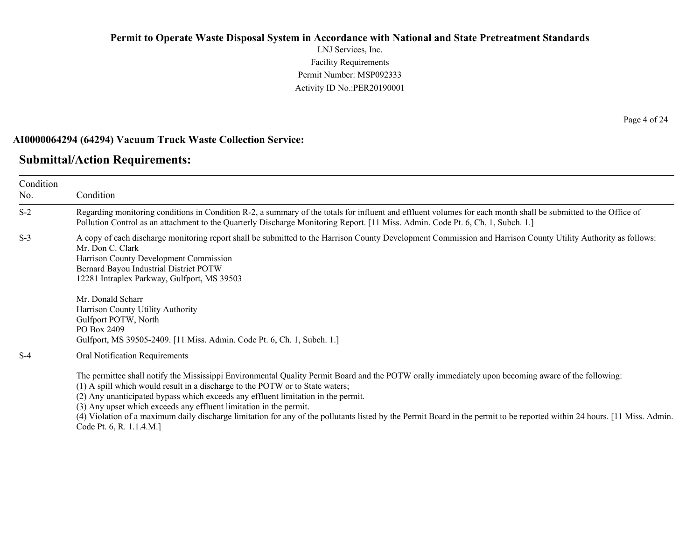LNJ Services, Inc. Facility Requirements Permit Number: MSP092333 Activity ID No.:PER20190001

#### **AI0000064294 (64294) Vacuum Truck Waste Collection Service:**

#### **Submittal/Action Requirements:**

Condition No. Condition S-2 Regarding monitoring conditions in Condition R-2, a summary of the totals for influent and effluent volumes for each month shall be submitted to the Office of Pollution Control as an attachment to the Quarterly Discharge Monitoring Report. [11 Miss. Admin. Code Pt. 6, Ch. 1, Subch. 1.] S-3 A copy of each discharge monitoring report shall be submitted to the Harrison County Development Commission and Harrison County Utility Authority as follows: Mr. Don C. Clark Harrison County Development Commission Bernard Bayou Industrial District POTW 12281 Intraplex Parkway, Gulfport, MS 39503 Mr. Donald Scharr Harrison County Utility Authority Gulfport POTW, North PO Box 2409 Gulfport, MS 39505-2409. [11 Miss. Admin. Code Pt. 6, Ch. 1, Subch. 1.] S-4 Oral Notification Requirements The permittee shall notify the Mississippi Environmental Quality Permit Board and the POTW orally immediately upon becoming aware of the following: (1) A spill which would result in a discharge to the POTW or to State waters; (2) Any unanticipated bypass which exceeds any effluent limitation in the permit. (3) Any upset which exceeds any effluent limitation in the permit. (4) Violation of a maximum daily discharge limitation for any of the pollutants listed by the Permit Board in the permit to be reported within 24 hours. [11 Miss. Admin.

Code Pt. 6, R. 1.1.4.M.]

Page 4 of 24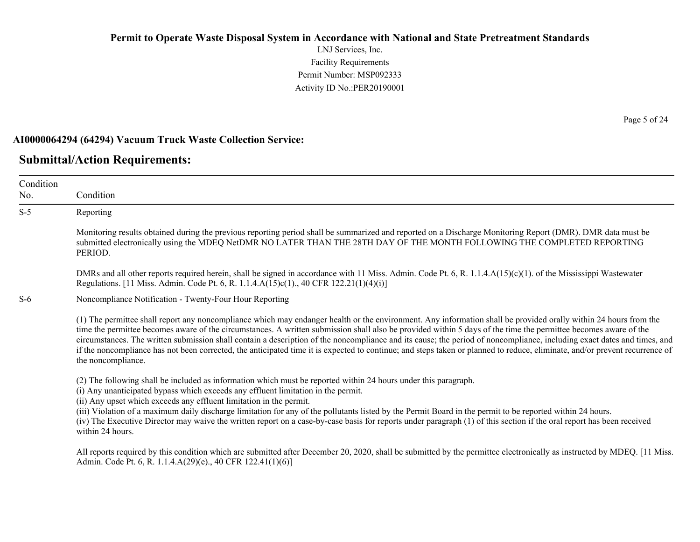LNJ Services, Inc. Facility Requirements Permit Number: MSP092333 Activity ID No.:PER20190001

#### **AI0000064294 (64294) Vacuum Truck Waste Collection Service:**

### **Submittal/Action Requirements:**

Condition No. Condition S-5 Reporting Monitoring results obtained during the previous reporting period shall be summarized and reported on a Discharge Monitoring Report (DMR). DMR data must be submitted electronically using the MDEQ NetDMR NO LATER THAN THE 28TH DAY OF THE MONTH FOLLOWING THE COMPLETED REPORTING PERIOD. DMRs and all other reports required herein, shall be signed in accordance with 11 Miss. Admin. Code Pt. 6, R. 1.1.4.A(15)(c)(1). of the Mississippi Wastewater Regulations. [11 Miss. Admin. Code Pt. 6, R. 1.1.4.A(15)c(1)., 40 CFR 122.21(1)(4)(i)] S-6 Noncompliance Notification - Twenty-Four Hour Reporting (1) The permittee shall report any noncompliance which may endanger health or the environment. Any information shall be provided orally within 24 hours from the time the permittee becomes aware of the circumstances. A written submission shall also be provided within 5 days of the time the permittee becomes aware of the circumstances. The written submission shall contain a description of the noncompliance and its cause; the period of noncompliance, including exact dates and times, and if the noncompliance has not been corrected, the anticipated time it is expected to continue; and steps taken or planned to reduce, eliminate, and/or prevent recurrence of the noncompliance. (2) The following shall be included as information which must be reported within 24 hours under this paragraph. (i) Any unanticipated bypass which exceeds any effluent limitation in the permit. (ii) Any upset which exceeds any effluent limitation in the permit. (iii) Violation of a maximum daily discharge limitation for any of the pollutants listed by the Permit Board in the permit to be reported within 24 hours. (iv) The Executive Director may waive the written report on a case-by-case basis for reports under paragraph (1) of this section if the oral report has been received within 24 hours. All reports required by this condition which are submitted after December 20, 2020, shall be submitted by the permittee electronically as instructed by MDEQ. [11 Miss.] Admin. Code Pt. 6, R. 1.1.4.A(29)(e)., 40 CFR 122.41(1)(6)]

Page 5 of 24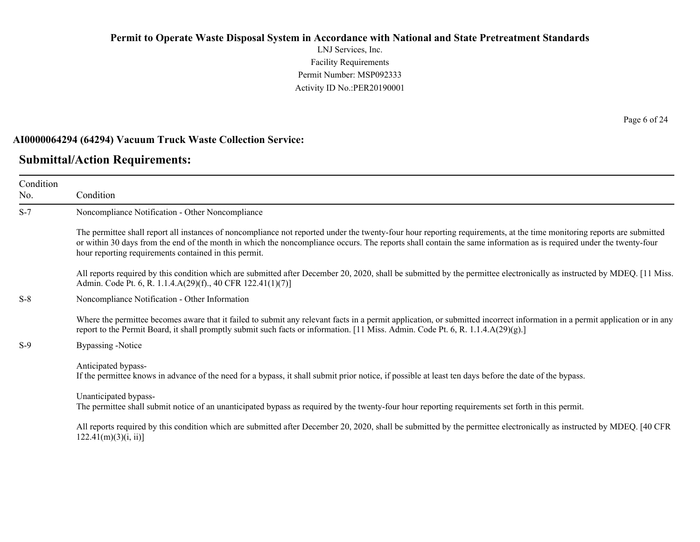LNJ Services, Inc. Facility Requirements Permit Number: MSP092333 Activity ID No.:PER20190001

#### **AI0000064294 (64294) Vacuum Truck Waste Collection Service:**

#### **Submittal/Action Requirements:**

Condition No. Condition S-7 Noncompliance Notification - Other Noncompliance The permittee shall report all instances of noncompliance not reported under the twenty-four hour reporting requirements, at the time monitoring reports are submitted or within 30 days from the end of the month in which the noncompliance occurs. The reports shall contain the same information as is required under the twenty-four hour reporting requirements contained in this permit. All reports required by this condition which are submitted after December 20, 2020, shall be submitted by the permittee electronically as instructed by MDEQ. [11 Miss.] Admin. Code Pt. 6, R. 1.1.4.A(29)(f)., 40 CFR 122.41(1)(7)] S-8 Noncompliance Notification - Other Information Where the permittee becomes aware that it failed to submit any relevant facts in a permit application, or submitted incorrect information in a permit application or in any report to the Permit Board, it shall promptly submit such facts or information. [11 Miss. Admin. Code Pt. 6, R. 1.1.4.A(29)(g).] S-9 Bypassing -Notice Anticipated bypass-If the permittee knows in advance of the need for a bypass, it shall submit prior notice, if possible at least ten days before the date of the bypass. Unanticipated bypass-The permittee shall submit notice of an unanticipated bypass as required by the twenty-four hour reporting requirements set forth in this permit. All reports required by this condition which are submitted after December 20, 2020, shall be submitted by the permittee electronically as instructed by MDEQ. [40 CFR  $122.41(m)(3)(i, ii)$ ]

Page 6 of 24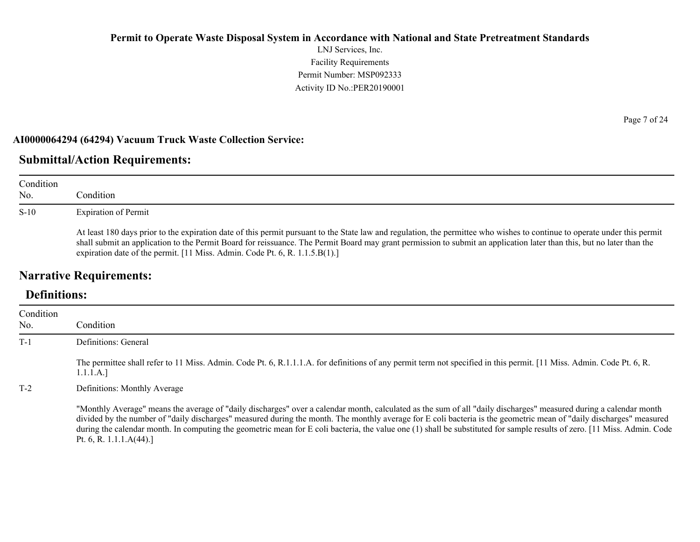LNJ Services, Inc. Facility Requirements Permit Number: MSP092333 Activity ID No.:PER20190001

#### **AI0000064294 (64294) Vacuum Truck Waste Collection Service:**

### **Submittal/Action Requirements:**

| Condition<br>No. | Condition                                                                                                                                                                                                                                                                                                                                                                                                                         |
|------------------|-----------------------------------------------------------------------------------------------------------------------------------------------------------------------------------------------------------------------------------------------------------------------------------------------------------------------------------------------------------------------------------------------------------------------------------|
| $S-10$           | Expiration of Permit                                                                                                                                                                                                                                                                                                                                                                                                              |
|                  | At least 180 days prior to the expiration date of this permit pursuant to the State law and regulation, the permittee who wishes to continue to operate under this permit<br>shall submit an application to the Permit Board for reissuance. The Permit Board may grant permission to submit an application later than this, but no later than the<br>expiration date of the permit. [11 Miss. Admin. Code Pt. 6, R. 1.1.5.B(1).] |

# **Narrative Requirements:**

# **Definitions:**

| Condition<br>No. | Condition                                                                                                                                                                                                                                                                                                                                                                                                                                                                                                                                           |
|------------------|-----------------------------------------------------------------------------------------------------------------------------------------------------------------------------------------------------------------------------------------------------------------------------------------------------------------------------------------------------------------------------------------------------------------------------------------------------------------------------------------------------------------------------------------------------|
| $T-1$            | Definitions: General                                                                                                                                                                                                                                                                                                                                                                                                                                                                                                                                |
|                  | The permittee shall refer to 11 Miss. Admin. Code Pt. 6, R.1.1.1.A. for definitions of any permit term not specified in this permit. [11 Miss. Admin. Code Pt. 6, R.<br>1.1.1.A.]                                                                                                                                                                                                                                                                                                                                                                   |
| $T-2$            | Definitions: Monthly Average                                                                                                                                                                                                                                                                                                                                                                                                                                                                                                                        |
|                  | "Monthly Average" means the average of "daily discharges" over a calendar month, calculated as the sum of all "daily discharges" measured during a calendar month<br>divided by the number of "daily discharges" measured during the month. The monthly average for E coli bacteria is the geometric mean of "daily discharges" measured<br>during the calendar month. In computing the geometric mean for E coli bacteria, the value one (1) shall be substituted for sample results of zero. [11 Miss. Admin. Code<br>Pt. 6, R. 1.1.1. $A(44)$ .] |

Page 7 of 24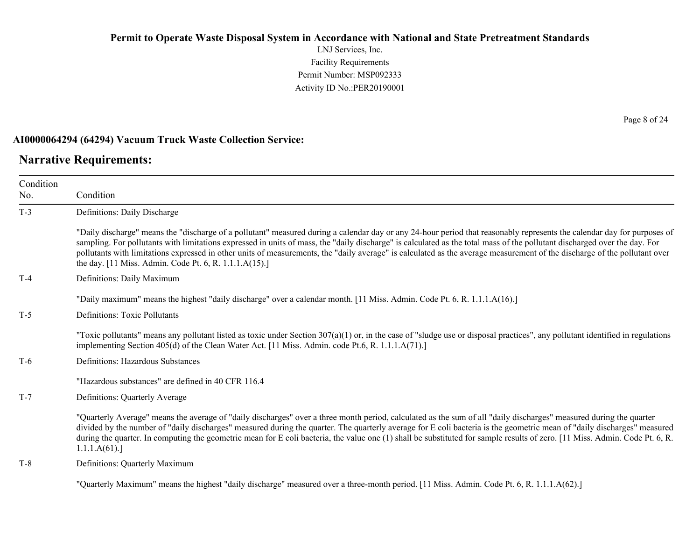LNJ Services, Inc. Facility Requirements Permit Number: MSP092333 Activity ID No.:PER20190001

#### **AI0000064294 (64294) Vacuum Truck Waste Collection Service:**

#### **Narrative Requirements:**

Condition No. Condition T-3 Definitions: Daily Discharge "Daily discharge" means the "discharge of a pollutant" measured during a calendar day or any 24-hour period that reasonably represents the calendar day for purposes of sampling. For pollutants with limitations expressed in units of mass, the "daily discharge" is calculated as the total mass of the pollutant discharged over the day. For pollutants with limitations expressed in other units of measurements, the "daily average" is calculated as the average measurement of the discharge of the pollutant over the day. [11 Miss. Admin. Code Pt. 6, R. 1.1.1.A(15).] T-4 Definitions: Daily Maximum "Daily maximum" means the highest "daily discharge" over a calendar month. [11 Miss. Admin. Code Pt. 6, R. 1.1.1.A(16).] T-5 Definitions: Toxic Pollutants "Toxic pollutants" means any pollutant listed as toxic under Section  $307(a)(1)$  or, in the case of "sludge use or disposal practices", any pollutant identified in regulations implementing Section 405(d) of the Clean Water Act. [11 Miss. Admin. code Pt.6, R. 1.1.1.A(71).] T-6 Definitions: Hazardous Substances "Hazardous substances" are defined in 40 CFR 116.4 T-7 Definitions: Quarterly Average "Quarterly Average" means the average of "daily discharges" over a three month period, calculated as the sum of all "daily discharges" measured during the quarter divided by the number of "daily discharges" measured during the quarter. The quarterly average for E coli bacteria is the geometric mean of "daily discharges" measured during the quarter. In computing the geometric mean for E coli bacteria, the value one (1) shall be substituted for sample results of zero. [11 Miss. Admin. Code Pt. 6, R. 1.1.1.A(61).] T-8 Definitions: Quarterly Maximum

"Quarterly Maximum" means the highest "daily discharge" measured over a three-month period. [11 Miss. Admin. Code Pt. 6, R. 1.1.1.A(62).]

Page 8 of 24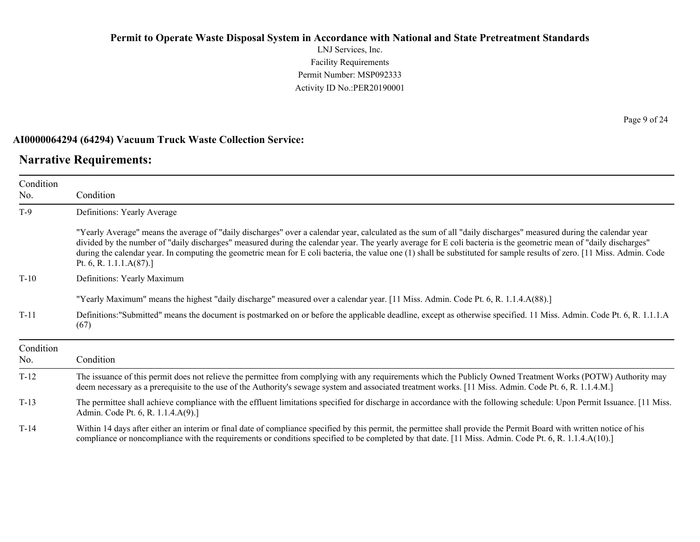LNJ Services, Inc. Facility Requirements Permit Number: MSP092333 Activity ID No.:PER20190001

### **AI0000064294 (64294) Vacuum Truck Waste Collection Service:**

### **Narrative Requirements:**

| Condition        |                                                                                                                                                                                                                                                                                                                                                                                                                                                                                                                                              |  |
|------------------|----------------------------------------------------------------------------------------------------------------------------------------------------------------------------------------------------------------------------------------------------------------------------------------------------------------------------------------------------------------------------------------------------------------------------------------------------------------------------------------------------------------------------------------------|--|
| No.              | Condition                                                                                                                                                                                                                                                                                                                                                                                                                                                                                                                                    |  |
| $T-9$            | Definitions: Yearly Average                                                                                                                                                                                                                                                                                                                                                                                                                                                                                                                  |  |
|                  | "Yearly Average" means the average of "daily discharges" over a calendar year, calculated as the sum of all "daily discharges" measured during the calendar year<br>divided by the number of "daily discharges" measured during the calendar year. The yearly average for E coli bacteria is the geometric mean of "daily discharges"<br>during the calendar year. In computing the geometric mean for E coli bacteria, the value one (1) shall be substituted for sample results of zero. [11 Miss. Admin. Code<br>Pt. 6, R. $1.1.1.A(87).$ |  |
| $T-10$           | Definitions: Yearly Maximum                                                                                                                                                                                                                                                                                                                                                                                                                                                                                                                  |  |
|                  | "Yearly Maximum" means the highest "daily discharge" measured over a calendar year. [11 Miss. Admin. Code Pt. 6, R. 1.1.4.A(88).]                                                                                                                                                                                                                                                                                                                                                                                                            |  |
| $T-11$           | Definitions:"Submitted" means the document is postmarked on or before the applicable deadline, except as otherwise specified. 11 Miss. Admin. Code Pt. 6, R. 1.1.1.A<br>(67)                                                                                                                                                                                                                                                                                                                                                                 |  |
| Condition<br>No. | Condition                                                                                                                                                                                                                                                                                                                                                                                                                                                                                                                                    |  |
| $T-12$           | The issuance of this permit does not relieve the permittee from complying with any requirements which the Publicly Owned Treatment Works (POTW) Authority may<br>deem necessary as a prerequisite to the use of the Authority's sewage system and associated treatment works. [11 Miss. Admin. Code Pt. 6, R. 1.1.4.M.]                                                                                                                                                                                                                      |  |
| $T-13$           | The permittee shall achieve compliance with the effluent limitations specified for discharge in accordance with the following schedule: Upon Permit Issuance. [11 Miss.]<br>Admin. Code Pt. 6, R. 1.1.4.A(9).]                                                                                                                                                                                                                                                                                                                               |  |
| $T-14$           | Within 14 days after either an interim or final date of compliance specified by this permit, the permittee shall provide the Permit Board with written notice of his<br>compliance or noncompliance with the requirements or conditions specified to be completed by that date. [11 Miss. Admin. Code Pt. 6, R. 1.1.4.A(10).]                                                                                                                                                                                                                |  |

Page 9 of 24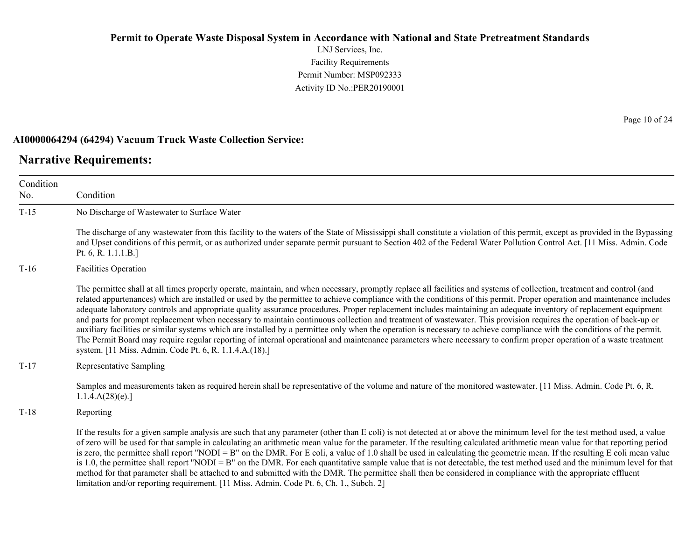LNJ Services, Inc. Facility Requirements Permit Number: MSP092333 Activity ID No.:PER20190001

#### **AI0000064294 (64294) Vacuum Truck Waste Collection Service:**

limitation and/or reporting requirement. [11 Miss. Admin. Code Pt. 6, Ch. 1., Subch. 2]

#### **Narrative Requirements:**

Condition No. Condition T-15 No Discharge of Wastewater to Surface Water The discharge of any wastewater from this facility to the waters of the State of Mississippi shall constitute a violation of this permit, except as provided in the Bypassing and Upset conditions of this permit, or as authorized under separate permit pursuant to Section 402 of the Federal Water Pollution Control Act. [11 Miss. Admin. Code Pt. 6, R. 1.1.1.B.] T-16 Facilities Operation The permittee shall at all times properly operate, maintain, and when necessary, promptly replace all facilities and systems of collection, treatment and control (and related appurtenances) which are installed or used by the permittee to achieve compliance with the conditions of this permit. Proper operation and maintenance includes adequate laboratory controls and appropriate quality assurance procedures. Proper replacement includes maintaining an adequate inventory of replacement equipment and parts for prompt replacement when necessary to maintain continuous collection and treatment of wastewater. This provision requires the operation of back-up or auxiliary facilities or similar systems which are installed by a permittee only when the operation is necessary to achieve compliance with the conditions of the permit. The Permit Board may require regular reporting of internal operational and maintenance parameters where necessary to confirm proper operation of a waste treatment system. [11 Miss. Admin. Code Pt. 6, R. 1.1.4.A.(18).] T-17 Representative Sampling Samples and measurements taken as required herein shall be representative of the volume and nature of the monitored wastewater. [11 Miss. Admin. Code Pt. 6, R. 1.1.4.A(28)(e).] T-18 Reporting If the results for a given sample analysis are such that any parameter (other than E coli) is not detected at or above the minimum level for the test method used, a value of zero will be used for that sample in calculating an arithmetic mean value for the parameter. If the resulting calculated arithmetic mean value for that reporting period is zero, the permittee shall report "NODI = B" on the DMR. For E coli, a value of 1.0 shall be used in calculating the geometric mean. If the resulting E coli mean value is 1.0, the permittee shall report "NODI = B" on the DMR. For each quantitative sample value that is not detectable, the test method used and the minimum level for that method for that parameter shall be attached to and submitted with the DMR. The permittee shall then be considered in compliance with the appropriate effluent

Page 10 of 24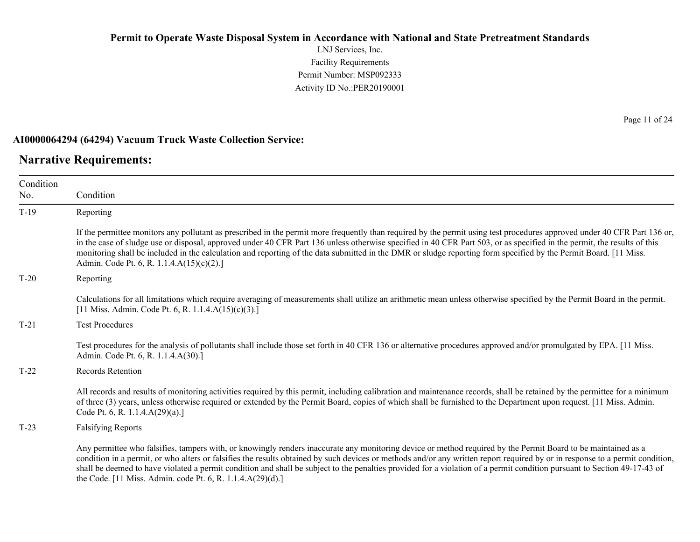LNJ Services, Inc. Facility Requirements Permit Number: MSP092333 Activity ID No.:PER20190001

#### **AI0000064294 (64294) Vacuum Truck Waste Collection Service:**

#### **Narrative Requirements:**

Condition No. Condition T-19 Reporting If the permittee monitors any pollutant as prescribed in the permit more frequently than required by the permit using test procedures approved under 40 CFR Part 136 or, in the case of sludge use or disposal, approved under 40 CFR Part 136 unless otherwise specified in 40 CFR Part 503, or as specified in the permit, the results of this monitoring shall be included in the calculation and reporting of the data submitted in the DMR or sludge reporting form specified by the Permit Board. [11 Miss. Admin. Code Pt. 6, R. 1.1.4.A(15)(c)(2).] T-20 Reporting Calculations for all limitations which require averaging of measurements shall utilize an arithmetic mean unless otherwise specified by the Permit Board in the permit. [11 Miss. Admin. Code Pt. 6, R. 1.1.4.A(15)(c)(3).] T-21 Test Procedures Test procedures for the analysis of pollutants shall include those set forth in 40 CFR 136 or alternative procedures approved and/or promulgated by EPA. [11 Miss. Admin. Code Pt. 6, R. 1.1.4.A(30).] T-22 Records Retention All records and results of monitoring activities required by this permit, including calibration and maintenance records, shall be retained by the permittee for a minimum of three (3) years, unless otherwise required or extended by the Permit Board, copies of which shall be furnished to the Department upon request. [11 Miss. Admin. Code Pt. 6, R. 1.1.4.A(29)(a).] T-23 Falsifying Reports Any permittee who falsifies, tampers with, or knowingly renders inaccurate any monitoring device or method required by the Permit Board to be maintained as a condition in a permit, or who alters or falsifies the results obtained by such devices or methods and/or any written report required by or in response to a permit condition, shall be deemed to have violated a permit condition and shall be subject to the penalties provided for a violation of a permit condition pursuant to Section 49-17-43 of the Code. [11 Miss. Admin. code Pt. 6, R. 1.1.4.A(29)(d).]

Page 11 of 24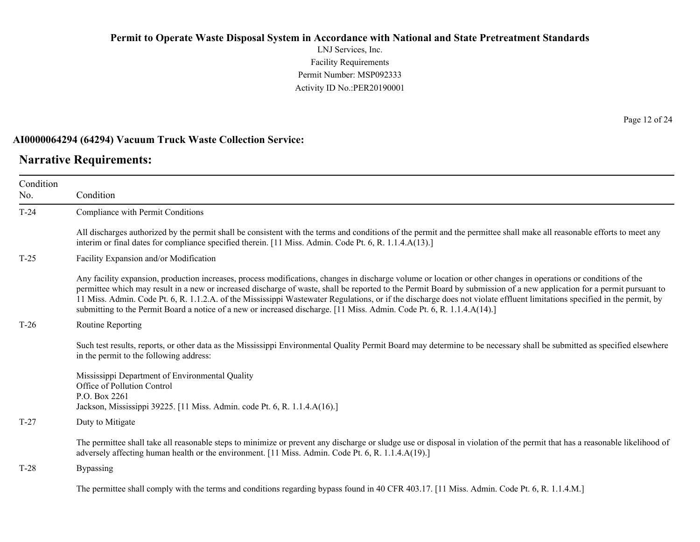LNJ Services, Inc. Facility Requirements Permit Number: MSP092333 Activity ID No.:PER20190001

### **AI0000064294 (64294) Vacuum Truck Waste Collection Service:**

### **Narrative Requirements:**

| Condition<br>No. | Condition                                                                                                                                                                                                                                                                                                                                                                                                                                                                                                                                                                                                                                        |
|------------------|--------------------------------------------------------------------------------------------------------------------------------------------------------------------------------------------------------------------------------------------------------------------------------------------------------------------------------------------------------------------------------------------------------------------------------------------------------------------------------------------------------------------------------------------------------------------------------------------------------------------------------------------------|
| $T-24$           | Compliance with Permit Conditions                                                                                                                                                                                                                                                                                                                                                                                                                                                                                                                                                                                                                |
|                  | All discharges authorized by the permit shall be consistent with the terms and conditions of the permit and the permittee shall make all reasonable efforts to meet any<br>interim or final dates for compliance specified therein. [11 Miss. Admin. Code Pt. 6, R. 1.1.4.A(13).]                                                                                                                                                                                                                                                                                                                                                                |
| $T-25$           | Facility Expansion and/or Modification                                                                                                                                                                                                                                                                                                                                                                                                                                                                                                                                                                                                           |
|                  | Any facility expansion, production increases, process modifications, changes in discharge volume or location or other changes in operations or conditions of the<br>permittee which may result in a new or increased discharge of waste, shall be reported to the Permit Board by submission of a new application for a permit pursuant to<br>11 Miss. Admin. Code Pt. 6, R. 1.1.2.A. of the Mississippi Wastewater Regulations, or if the discharge does not violate effluent limitations specified in the permit, by<br>submitting to the Permit Board a notice of a new or increased discharge. [11 Miss. Admin. Code Pt. 6, R. 1.1.4.A(14).] |
| $T-26$           | Routine Reporting                                                                                                                                                                                                                                                                                                                                                                                                                                                                                                                                                                                                                                |
|                  | Such test results, reports, or other data as the Mississippi Environmental Quality Permit Board may determine to be necessary shall be submitted as specified elsewhere<br>in the permit to the following address:                                                                                                                                                                                                                                                                                                                                                                                                                               |
|                  | Mississippi Department of Environmental Quality<br>Office of Pollution Control<br>P.O. Box 2261<br>Jackson, Mississippi 39225. [11 Miss. Admin. code Pt. 6, R. 1.1.4.A(16).]                                                                                                                                                                                                                                                                                                                                                                                                                                                                     |
| $T-27$           | Duty to Mitigate                                                                                                                                                                                                                                                                                                                                                                                                                                                                                                                                                                                                                                 |
|                  | The permittee shall take all reasonable steps to minimize or prevent any discharge or sludge use or disposal in violation of the permit that has a reasonable likelihood of<br>adversely affecting human health or the environment. [11 Miss. Admin. Code Pt. 6, R. 1.1.4.A(19).]                                                                                                                                                                                                                                                                                                                                                                |
| $T-28$           | <b>Bypassing</b>                                                                                                                                                                                                                                                                                                                                                                                                                                                                                                                                                                                                                                 |
|                  | The permittee shall comply with the terms and conditions regarding bypass found in 40 CFR 403.17. [11 Miss. Admin. Code Pt. 6, R. 1.1.4.M.]                                                                                                                                                                                                                                                                                                                                                                                                                                                                                                      |

Page 12 of 24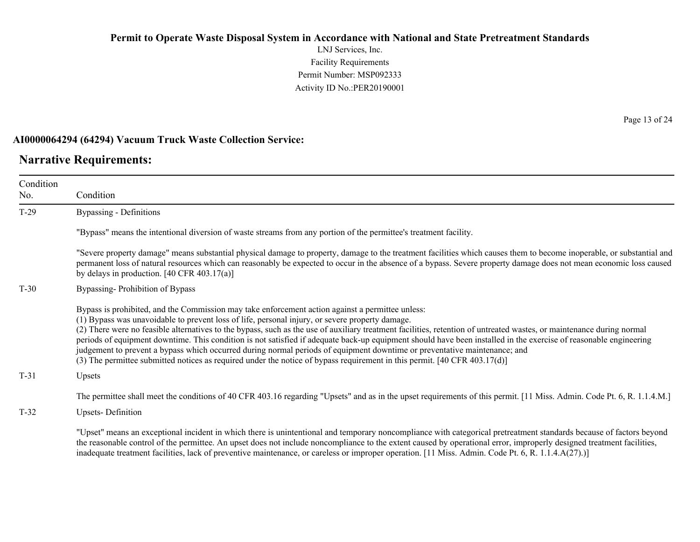LNJ Services, Inc. Facility Requirements Permit Number: MSP092333 Activity ID No.:PER20190001

#### **AI0000064294 (64294) Vacuum Truck Waste Collection Service:**

### **Narrative Requirements:**

Condition No. Condition T-29 Bypassing - Definitions "Bypass" means the intentional diversion of waste streams from any portion of the permittee's treatment facility. "Severe property damage" means substantial physical damage to property, damage to the treatment facilities which causes them to become inoperable, or substantial and permanent loss of natural resources which can reasonably be expected to occur in the absence of a bypass. Severe property damage does not mean economic loss caused by delays in production. [40 CFR 403.17(a)] T-30 Bypassing- Prohibition of Bypass Bypass is prohibited, and the Commission may take enforcement action against a permittee unless: (1) Bypass was unavoidable to prevent loss of life, personal injury, or severe property damage. (2) There were no feasible alternatives to the bypass, such as the use of auxiliary treatment facilities, retention of untreated wastes, or maintenance during normal periods of equipment downtime. This condition is not satisfied if adequate back-up equipment should have been installed in the exercise of reasonable engineering judgement to prevent a bypass which occurred during normal periods of equipment downtime or preventative maintenance; and (3) The permittee submitted notices as required under the notice of bypass requirement in this permit. [40 CFR 403.17(d)] T-31 Upsets The permittee shall meet the conditions of 40 CFR 403.16 regarding "Upsets" and as in the upset requirements of this permit. [11 Miss. Admin. Code Pt. 6, R. 1.1.4.M.] T-32 Upsets- Definition

"Upset" means an exceptional incident in which there is unintentional and temporary noncompliance with categorical pretreatment standards because of factors beyond the reasonable control of the permittee. An upset does not include noncompliance to the extent caused by operational error, improperly designed treatment facilities, inadequate treatment facilities, lack of preventive maintenance, or careless or improper operation. [11 Miss. Admin. Code Pt. 6, R. 1.1.4.A(27).)]

Page 13 of 24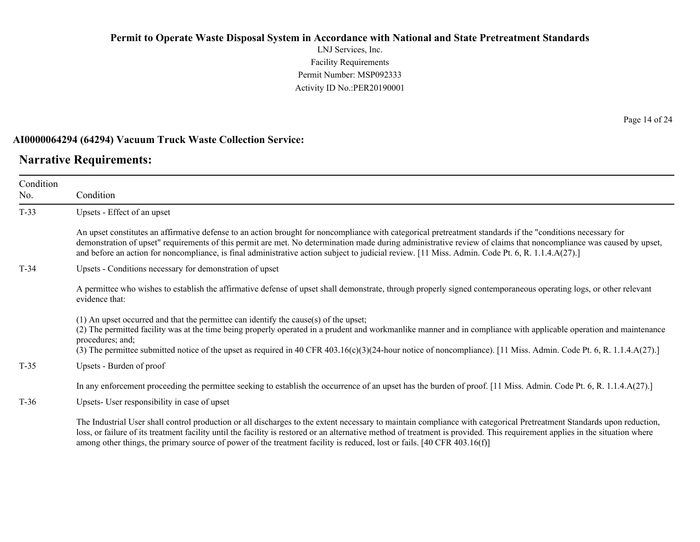LNJ Services, Inc. Facility Requirements Permit Number: MSP092333 Activity ID No.:PER20190001

#### **AI0000064294 (64294) Vacuum Truck Waste Collection Service:**

### **Narrative Requirements:**

Condition No. Condition T-33 Upsets - Effect of an upset An upset constitutes an affirmative defense to an action brought for noncompliance with categorical pretreatment standards if the "conditions necessary for demonstration of upset" requirements of this permit are met. No determination made during administrative review of claims that noncompliance was caused by upset, and before an action for noncompliance, is final administrative action subject to judicial review. [11 Miss. Admin. Code Pt. 6, R. 1.1.4.A(27).] T-34 Upsets - Conditions necessary for demonstration of upset A permittee who wishes to establish the affirmative defense of upset shall demonstrate, through properly signed contemporaneous operating logs, or other relevant evidence that: (1) An upset occurred and that the permittee can identify the cause(s) of the upset; (2) The permitted facility was at the time being properly operated in a prudent and workmanlike manner and in compliance with applicable operation and maintenance procedures; and; (3) The permittee submitted notice of the upset as required in 40 CFR 403.16(c)(3)(24-hour notice of noncompliance). [11 Miss. Admin. Code Pt. 6, R. 1.1.4.A(27).] T-35 Upsets - Burden of proof In any enforcement proceeding the permittee seeking to establish the occurrence of an upset has the burden of proof. [11 Miss. Admin. Code Pt. 6, R. 1.1.4.A(27).] T-36 Upsets- User responsibility in case of upset

The Industrial User shall control production or all discharges to the extent necessary to maintain compliance with categorical Pretreatment Standards upon reduction, loss, or failure of its treatment facility until the facility is restored or an alternative method of treatment is provided. This requirement applies in the situation where among other things, the primary source of power of the treatment facility is reduced, lost or fails. [40 CFR 403.16(f)]

Page 14 of 24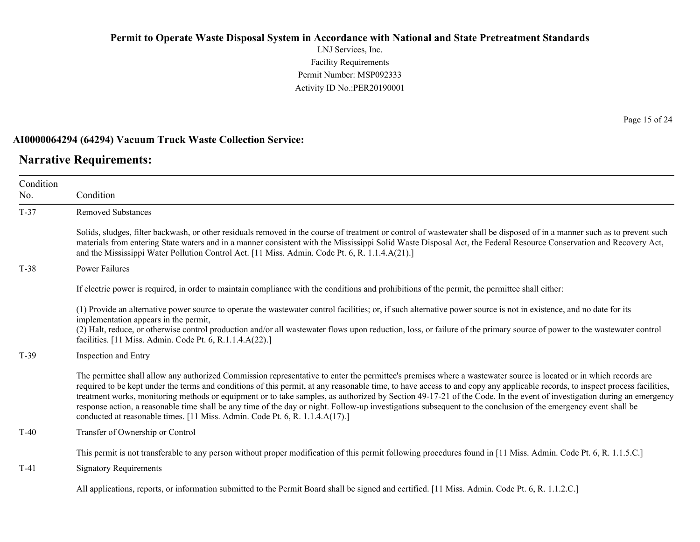LNJ Services, Inc. Facility Requirements Permit Number: MSP092333 Activity ID No.:PER20190001

#### **AI0000064294 (64294) Vacuum Truck Waste Collection Service:**

### **Narrative Requirements:**

Page 15 of 24

| Condition |                                                                                                                                                                                                                                                                                                                                                                                                                                                                                                                                                                                                                                                                                                                                                                               |
|-----------|-------------------------------------------------------------------------------------------------------------------------------------------------------------------------------------------------------------------------------------------------------------------------------------------------------------------------------------------------------------------------------------------------------------------------------------------------------------------------------------------------------------------------------------------------------------------------------------------------------------------------------------------------------------------------------------------------------------------------------------------------------------------------------|
| No.       | Condition                                                                                                                                                                                                                                                                                                                                                                                                                                                                                                                                                                                                                                                                                                                                                                     |
| $T-37$    | <b>Removed Substances</b>                                                                                                                                                                                                                                                                                                                                                                                                                                                                                                                                                                                                                                                                                                                                                     |
|           | Solids, sludges, filter backwash, or other residuals removed in the course of treatment or control of wastewater shall be disposed of in a manner such as to prevent such<br>materials from entering State waters and in a manner consistent with the Mississippi Solid Waste Disposal Act, the Federal Resource Conservation and Recovery Act,<br>and the Mississippi Water Pollution Control Act. [11 Miss. Admin. Code Pt. 6, R. 1.1.4.A(21).]                                                                                                                                                                                                                                                                                                                             |
| $T-38$    | <b>Power Failures</b>                                                                                                                                                                                                                                                                                                                                                                                                                                                                                                                                                                                                                                                                                                                                                         |
|           | If electric power is required, in order to maintain compliance with the conditions and prohibitions of the permit, the permittee shall either:                                                                                                                                                                                                                                                                                                                                                                                                                                                                                                                                                                                                                                |
|           | (1) Provide an alternative power source to operate the wastewater control facilities; or, if such alternative power source is not in existence, and no date for its<br>implementation appears in the permit,<br>(2) Halt, reduce, or otherwise control production and/or all wastewater flows upon reduction, loss, or failure of the primary source of power to the wastewater control<br>facilities. [11 Miss. Admin. Code Pt. 6, R.1.1.4.A(22).]                                                                                                                                                                                                                                                                                                                           |
| $T-39$    | Inspection and Entry                                                                                                                                                                                                                                                                                                                                                                                                                                                                                                                                                                                                                                                                                                                                                          |
|           | The permittee shall allow any authorized Commission representative to enter the permittee's premises where a wastewater source is located or in which records are<br>required to be kept under the terms and conditions of this permit, at any reasonable time, to have access to and copy any applicable records, to inspect process facilities,<br>treatment works, monitoring methods or equipment or to take samples, as authorized by Section 49-17-21 of the Code. In the event of investigation during an emergency<br>response action, a reasonable time shall be any time of the day or night. Follow-up investigations subsequent to the conclusion of the emergency event shall be<br>conducted at reasonable times. [11 Miss. Admin. Code Pt. 6, R. 1.1.4.A(17).] |
| $T-40$    | Transfer of Ownership or Control                                                                                                                                                                                                                                                                                                                                                                                                                                                                                                                                                                                                                                                                                                                                              |
|           | This permit is not transferable to any person without proper modification of this permit following procedures found in [11 Miss. Admin. Code Pt. 6, R. 1.1.5.C.]                                                                                                                                                                                                                                                                                                                                                                                                                                                                                                                                                                                                              |
| $T-41$    | <b>Signatory Requirements</b>                                                                                                                                                                                                                                                                                                                                                                                                                                                                                                                                                                                                                                                                                                                                                 |
|           | All applications, reports, or information submitted to the Permit Board shall be signed and certified. [11 Miss. Admin. Code Pt. 6, R. 1.1.2.C.]                                                                                                                                                                                                                                                                                                                                                                                                                                                                                                                                                                                                                              |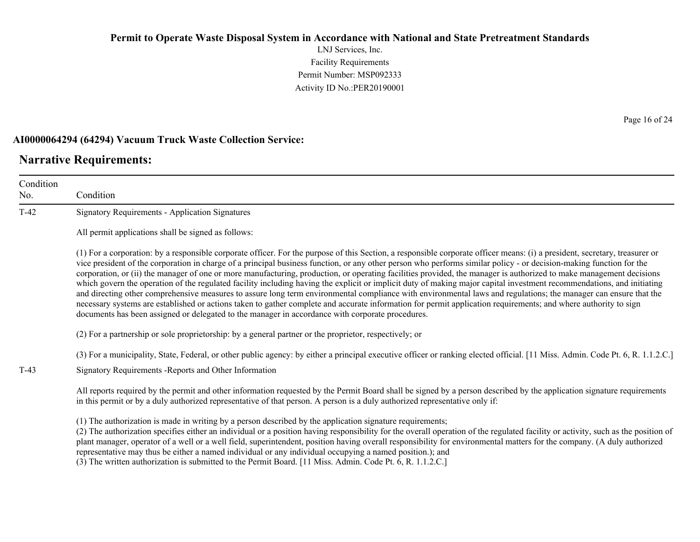LNJ Services, Inc. Facility Requirements Permit Number: MSP092333 Activity ID No.:PER20190001

#### **AI0000064294 (64294) Vacuum Truck Waste Collection Service:**

### **Narrative Requirements:**

Condition No. Condition T-42 Signatory Requirements - Application Signatures All permit applications shall be signed as follows: (1) For a corporation: by a responsible corporate officer. For the purpose of this Section, a responsible corporate officer means: (i) a president, secretary, treasurer or vice president of the corporation in charge of a principal business function, or any other person who performs similar policy - or decision-making function for the corporation, or (ii) the manager of one or more manufacturing, production, or operating facilities provided, the manager is authorized to make management decisions which govern the operation of the regulated facility including having the explicit or implicit duty of making major capital investment recommendations, and initiating and directing other comprehensive measures to assure long term environmental compliance with environmental laws and regulations; the manager can ensure that the necessary systems are established or actions taken to gather complete and accurate information for permit application requirements; and where authority to sign documents has been assigned or delegated to the manager in accordance with corporate procedures. (2) For a partnership or sole proprietorship: by a general partner or the proprietor, respectively; or (3) For a municipality, State, Federal, or other public agency: by either a principal executive officer or ranking elected official. [11 Miss. Admin. Code Pt. 6, R. 1.1.2.C.] T-43 Signatory Requirements -Reports and Other Information All reports required by the permit and other information requested by the Permit Board shall be signed by a person described by the application signature requirements in this permit or by a duly authorized representative of that person. A person is a duly authorized representative only if: (1) The authorization is made in writing by a person described by the application signature requirements; (2) The authorization specifies either an individual or a position having responsibility for the overall operation of the regulated facility or activity, such as the position of plant manager, operator of a well or a well field, superintendent, position having overall responsibility for environmental matters for the company. (A duly authorized

representative may thus be either a named individual or any individual occupying a named position.); and

(3) The written authorization is submitted to the Permit Board. [11 Miss. Admin. Code Pt. 6, R. 1.1.2.C.]

Page 16 of 24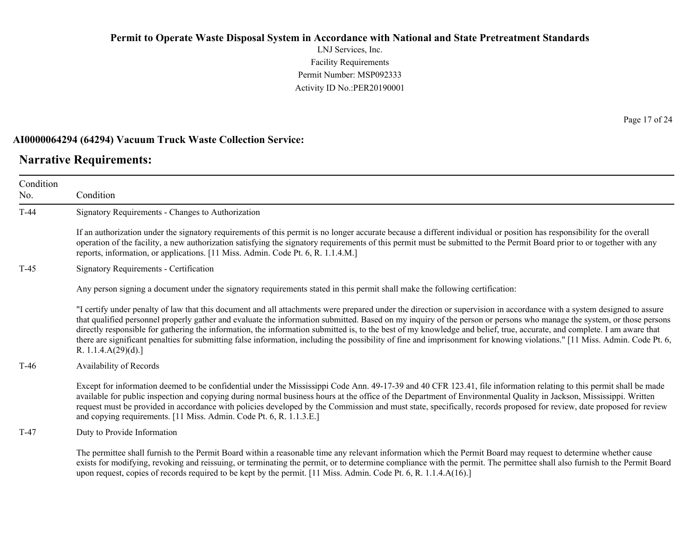LNJ Services, Inc. Facility Requirements Permit Number: MSP092333 Activity ID No.:PER20190001

#### **AI0000064294 (64294) Vacuum Truck Waste Collection Service:**

### **Narrative Requirements:**

Condition No. Condition T-44 Signatory Requirements - Changes to Authorization If an authorization under the signatory requirements of this permit is no longer accurate because a different individual or position has responsibility for the overall operation of the facility, a new authorization satisfying the signatory requirements of this permit must be submitted to the Permit Board prior to or together with any reports, information, or applications. [11 Miss. Admin. Code Pt. 6, R. 1.1.4.M.] T-45 Signatory Requirements - Certification Any person signing a document under the signatory requirements stated in this permit shall make the following certification: "I certify under penalty of law that this document and all attachments were prepared under the direction or supervision in accordance with a system designed to assure that qualified personnel properly gather and evaluate the information submitted. Based on my inquiry of the person or persons who manage the system, or those persons directly responsible for gathering the information, the information submitted is, to the best of my knowledge and belief, true, accurate, and complete. I am aware that there are significant penalties for submitting false information, including the possibility of fine and imprisonment for knowing violations." [11 Miss. Admin. Code Pt. 6, R. 1.1.4.A(29)(d).] T-46 Availability of Records Except for information deemed to be confidential under the Mississippi Code Ann. 49-17-39 and 40 CFR 123.41, file information relating to this permit shall be made available for public inspection and copying during normal business hours at the office of the Department of Environmental Quality in Jackson, Mississippi. Written request must be provided in accordance with policies developed by the Commission and must state, specifically, records proposed for review, date proposed for review and copying requirements. [11 Miss. Admin. Code Pt. 6, R. 1.1.3.E.] T-47 Duty to Provide Information The permittee shall furnish to the Permit Board within a reasonable time any relevant information which the Permit Board may request to determine whether cause exists for modifying, revoking and reissuing, or terminating the permit, or to determine compliance with the permit. The permittee shall also furnish to the Permit Board upon request, copies of records required to be kept by the permit. [11 Miss. Admin. Code Pt. 6, R. 1.1.4.A(16).]

Page 17 of 24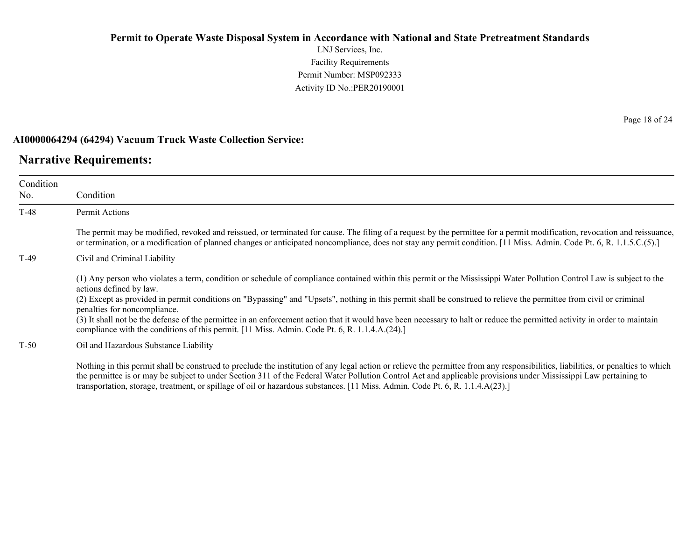LNJ Services, Inc. Facility Requirements Permit Number: MSP092333 Activity ID No.:PER20190001

#### **AI0000064294 (64294) Vacuum Truck Waste Collection Service:**

### **Narrative Requirements:**

| Condition<br>No. | Condition                                                                                                                                                                                                                                                                                                                                                                                                                                                                                                                                                                                                                                                                            |
|------------------|--------------------------------------------------------------------------------------------------------------------------------------------------------------------------------------------------------------------------------------------------------------------------------------------------------------------------------------------------------------------------------------------------------------------------------------------------------------------------------------------------------------------------------------------------------------------------------------------------------------------------------------------------------------------------------------|
| $T-48$           | Permit Actions                                                                                                                                                                                                                                                                                                                                                                                                                                                                                                                                                                                                                                                                       |
|                  | The permit may be modified, revoked and reissued, or terminated for cause. The filing of a request by the permittee for a permit modification, revocation and reissuance,<br>or termination, or a modification of planned changes or anticipated noncompliance, does not stay any permit condition. [11 Miss. Admin. Code Pt. 6, R. 1.1.5.C.(5).]                                                                                                                                                                                                                                                                                                                                    |
| $T-49$           | Civil and Criminal Liability                                                                                                                                                                                                                                                                                                                                                                                                                                                                                                                                                                                                                                                         |
|                  | (1) Any person who violates a term, condition or schedule of compliance contained within this permit or the Mississippi Water Pollution Control Law is subject to the<br>actions defined by law.<br>(2) Except as provided in permit conditions on "Bypassing" and "Upsets", nothing in this permit shall be construed to relieve the permittee from civil or criminal<br>penalties for noncompliance.<br>(3) It shall not be the defense of the permittee in an enforcement action that it would have been necessary to halt or reduce the permitted activity in order to maintain<br>compliance with the conditions of this permit. [11 Miss. Admin. Code Pt. 6, R. 1.1.4.A.(24).] |
| $T-50$           | Oil and Hazardous Substance Liability                                                                                                                                                                                                                                                                                                                                                                                                                                                                                                                                                                                                                                                |
|                  | Nothing in this permit shall be construed to preclude the institution of any legal action or relieve the permittee from any responsibilities, liabilities, or penalties to which<br>the nomittee is an user be subject to under Cestion 211 of the Eadam Water Dellution Control Ast and analizable maggierations under Mississimili I are nominima to                                                                                                                                                                                                                                                                                                                               |

the permittee is or may be subject to under Section 311 of the Federal Water Pollution Control Act and applicable provisions under Mississippi Law pertaining to transportation, storage, treatment, or spillage of oil or hazardous substances. [11 Miss. Admin. Code Pt. 6, R. 1.1.4.A(23).]

Page 18 of 24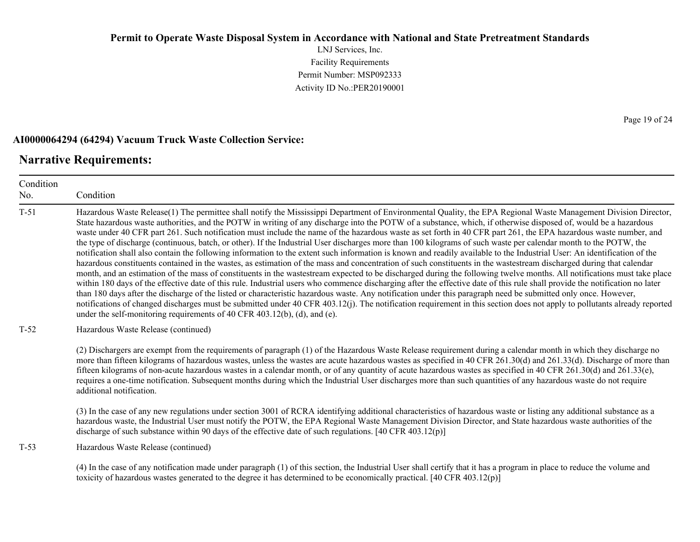LNJ Services, Inc. Facility Requirements Permit Number: MSP092333 Activity ID No.:PER20190001

#### **AI0000064294 (64294) Vacuum Truck Waste Collection Service:**

### **Narrative Requirements:**

Condition No. Condition T-51 Hazardous Waste Release(1) The permittee shall notify the Mississippi Department of Environmental Quality, the EPA Regional Waste Management Division Director, State hazardous waste authorities, and the POTW in writing of any discharge into the POTW of a substance, which, if otherwise disposed of, would be a hazardous waste under 40 CFR part 261. Such notification must include the name of the hazardous waste as set forth in 40 CFR part 261, the EPA hazardous waste number, and the type of discharge (continuous, batch, or other). If the Industrial User discharges more than 100 kilograms of such waste per calendar month to the POTW, the notification shall also contain the following information to the extent such information is known and readily available to the Industrial User: An identification of the hazardous constituents contained in the wastes, as estimation of the mass and concentration of such constituents in the wastestream discharged during that calendar month, and an estimation of the mass of constituents in the wastestream expected to be discharged during the following twelve months. All notifications must take place within 180 days of the effective date of this rule. Industrial users who commence discharging after the effective date of this rule shall provide the notification no later than 180 days after the discharge of the listed or characteristic hazardous waste. Any notification under this paragraph need be submitted only once. However, notifications of changed discharges must be submitted under 40 CFR 403.12(j). The notification requirement in this section does not apply to pollutants already reported under the self-monitoring requirements of 40 CFR 403.12(b), (d), and (e). T-52 Hazardous Waste Release (continued) (2) Dischargers are exempt from the requirements of paragraph (1) of the Hazardous Waste Release requirement during a calendar month in which they discharge no more than fifteen kilograms of hazardous wastes, unless the wastes are acute hazardous wastes as specified in 40 CFR 261.30(d) and 261.33(d). Discharge of more than fifteen kilograms of non-acute hazardous wastes in a calendar month, or of any quantity of acute hazardous wastes as specified in 40 CFR 261.30(d) and 261.33(e), requires a one-time notification. Subsequent months during which the Industrial User discharges more than such quantities of any hazardous waste do not require additional notification. (3) In the case of any new regulations under section 3001 of RCRA identifying additional characteristics of hazardous waste or listing any additional substance as a hazardous waste, the Industrial User must notify the POTW, the EPA Regional Waste Management Division Director, and State hazardous waste authorities of the discharge of such substance within 90 days of the effective date of such regulations. [40 CFR 403.12(p)] T-53 Hazardous Waste Release (continued) (4) In the case of any notification made under paragraph (1) of this section, the Industrial User shall certify that it has a program in place to reduce the volume and toxicity of hazardous wastes generated to the degree it has determined to be economically practical. [40 CFR 403.12(p)]

Page 19 of 24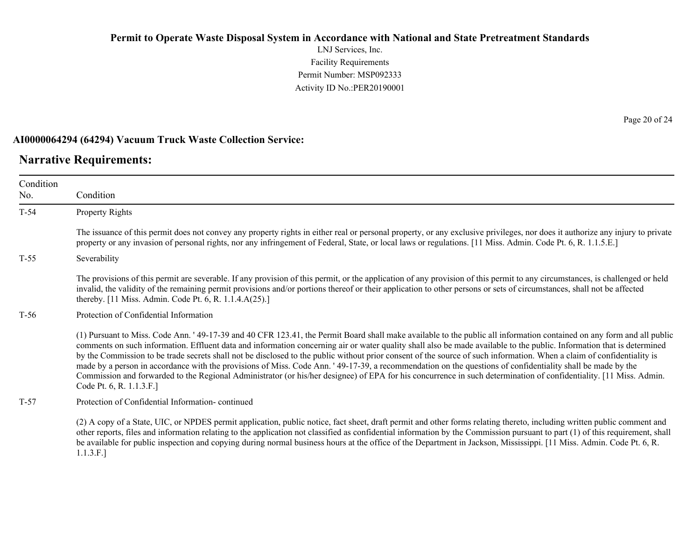LNJ Services, Inc. Facility Requirements Permit Number: MSP092333 Activity ID No.:PER20190001

#### **AI0000064294 (64294) Vacuum Truck Waste Collection Service:**

### **Narrative Requirements:**

Condition No. Condition T-54 Property Rights The issuance of this permit does not convey any property rights in either real or personal property, or any exclusive privileges, nor does it authorize any injury to private property or any invasion of personal rights, nor any infringement of Federal, State, or local laws or regulations. [11 Miss. Admin. Code Pt. 6, R. 1.1.5.E.] T-55 Severability The provisions of this permit are severable. If any provision of this permit, or the application of any provision of this permit to any circumstances, is challenged or held invalid, the validity of the remaining permit provisions and/or portions thereof or their application to other persons or sets of circumstances, shall not be affected thereby. [11 Miss. Admin. Code Pt. 6, R. 1.1.4.A(25).] T-56 Protection of Confidential Information (1) Pursuant to Miss. Code Ann. ' 49-17-39 and 40 CFR 123.41, the Permit Board shall make available to the public all information contained on any form and all public comments on such information. Effluent data and information concerning air or water quality shall also be made available to the public. Information that is determined by the Commission to be trade secrets shall not be disclosed to the public without prior consent of the source of such information. When a claim of confidentiality is made by a person in accordance with the provisions of Miss. Code Ann. ' 49-17-39, a recommendation on the questions of confidentiality shall be made by the Commission and forwarded to the Regional Administrator (or his/her designee) of EPA for his concurrence in such determination of confidentiality. [11 Miss. Admin. Code Pt. 6, R. 1.1.3.F.] T-57 Protection of Confidential Information- continued (2) A copy of a State, UIC, or NPDES permit application, public notice, fact sheet, draft permit and other forms relating thereto, including written public comment and

other reports, files and information relating to the application not classified as confidential information by the Commission pursuant to part (1) of this requirement, shall be available for public inspection and copying during normal business hours at the office of the Department in Jackson, Mississippi. [11 Miss. Admin. Code Pt. 6, R. 1.1.3.F.]

Page 20 of 24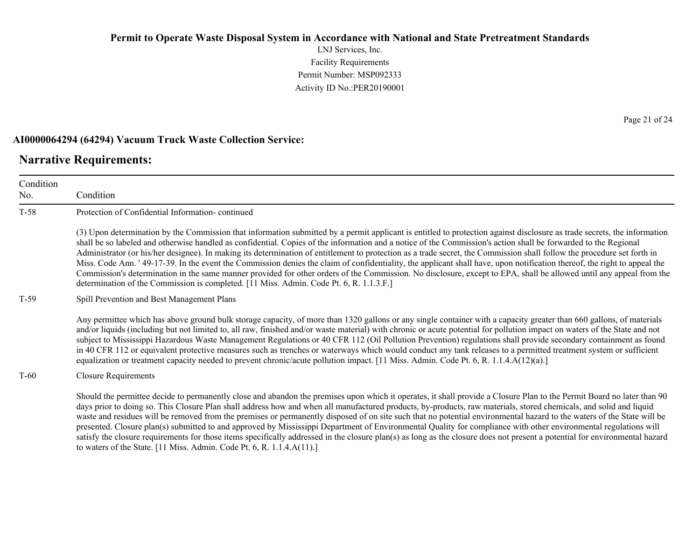LNJ Services, Inc. Facility Requirements Permit Number: MSP092333 Activity ID No.:PER20190001

#### **AI0000064294 (64294) Vacuum Truck Waste Collection Service:**

to waters of the State. [11 Miss. Admin. Code Pt. 6, R. 1.1.4.A(11).]

#### **Narrative Requirements:**

Condition No. Condition T-58 Protection of Confidential Information- continued (3) Upon determination by the Commission that information submitted by a permit applicant is entitled to protection against disclosure as trade secrets, the information shall be so labeled and otherwise handled as confidential. Copies of the information and a notice of the Commission's action shall be forwarded to the Regional Administrator (or his/her designee). In making its determination of entitlement to protection as a trade secret, the Commission shall follow the procedure set forth in Miss. Code Ann. ' 49-17-39. In the event the Commission denies the claim of confidentiality, the applicant shall have, upon notification thereof, the right to appeal the Commission's determination in the same manner provided for other orders of the Commission. No disclosure, except to EPA, shall be allowed until any appeal from the determination of the Commission is completed. [11 Miss. Admin. Code Pt. 6, R. 1.1.3.F.] T-59 Spill Prevention and Best Management Plans Any permittee which has above ground bulk storage capacity, of more than 1320 gallons or any single container with a capacity greater than 660 gallons, of materials and/or liquids (including but not limited to, all raw, finished and/or waste material) with chronic or acute potential for pollution impact on waters of the State and not subject to Mississippi Hazardous Waste Management Regulations or 40 CFR 112 (Oil Pollution Prevention) regulations shall provide secondary containment as found in 40 CFR 112 or equivalent protective measures such as trenches or waterways which would conduct any tank releases to a permitted treatment system or sufficient equalization or treatment capacity needed to prevent chronic/acute pollution impact. [11 Miss. Admin. Code Pt. 6, R. 1.1.4.A(12)(a).] T-60 Closure Requirements Should the permittee decide to permanently close and abandon the premises upon which it operates, it shall provide a Closure Plan to the Permit Board no later than 90 days prior to doing so. This Closure Plan shall address how and when all manufactured products, by-products, raw materials, stored chemicals, and solid and liquid waste and residues will be removed from the premises or permanently disposed of on site such that no potential environmental hazard to the waters of the State will be presented. Closure plan(s) submitted to and approved by Mississippi Department of Environmental Quality for compliance with other environmental regulations will satisfy the closure requirements for those items specifically addressed in the closure plan(s) as long as the closure does not present a potential for environmental hazard

Page 21 of 24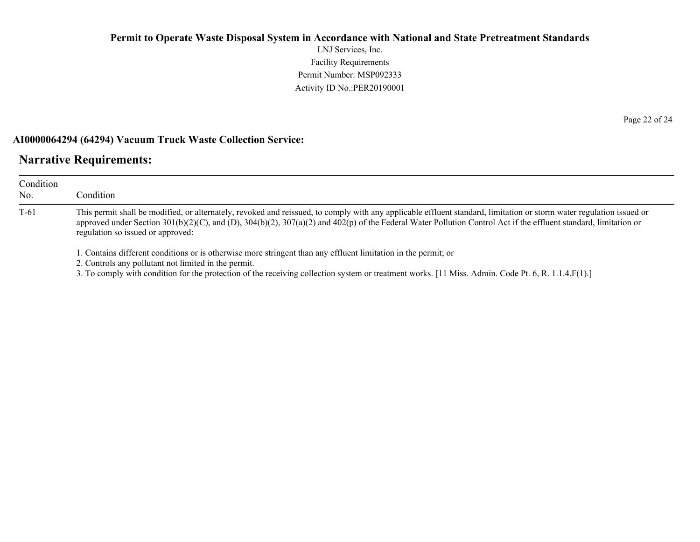LNJ Services, Inc. Facility Requirements Permit Number: MSP092333 Activity ID No.:PER20190001

#### **AI0000064294 (64294) Vacuum Truck Waste Collection Service:**

### **Narrative Requirements:**

| Condition<br>No. | Condition                                                                                                                                                                                                                                                                                                                                                                     |  |
|------------------|-------------------------------------------------------------------------------------------------------------------------------------------------------------------------------------------------------------------------------------------------------------------------------------------------------------------------------------------------------------------------------|--|
| $T-61$           | This permit shall be modified, or alternately, revoked and reissued, to comply with any applicable effluent standard, limitation or storm water regulation issued or<br>approved under Section 301(b)(2)(C), and (D), 304(b)(2), 307(a)(2) and 402(p) of the Federal Water Pollution Control Act if the effluent standard, limitation or<br>regulation so issued or approved: |  |
|                  | 1. Contains different conditions or is otherwise more stringent than any effluent limitation in the permit; or<br>2. Controls any pollutant not limited in the permit.<br>3. To comply with condition for the protection of the receiving collection system or treatment works. [11 Miss. Admin. Code Pt. 6, R. 1.1.4.F(1).]                                                  |  |

Page 22 of 24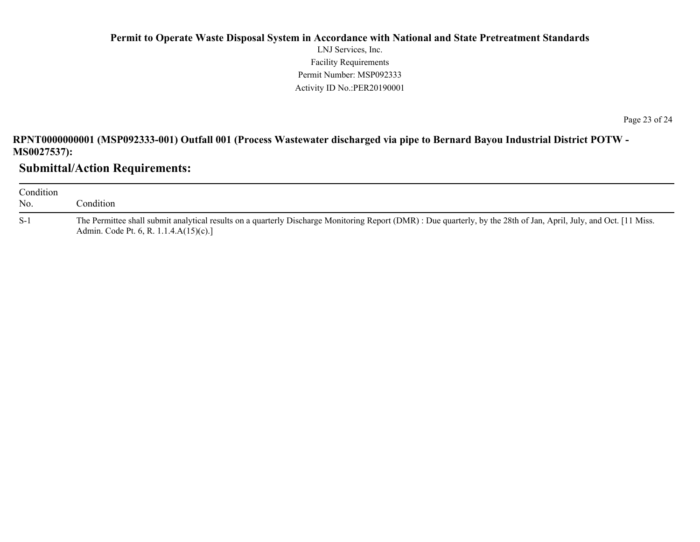### **Permit to Operate Waste Disposal System in Accordance with National and State Pretreatment Standards** LNJ Services, Inc. Facility Requirements Permit Number: MSP092333 Activity ID No.:PER20190001

**RPNT0000000001 (MSP092333-001) Outfall 001 (Process Wastewater discharged via pipe to Bernard Bayou Industrial District POTW - MS0027537):**

**Submittal/Action Requirements:**

| Condition<br>No. | condition.                                                                                                                                                                                                    |
|------------------|---------------------------------------------------------------------------------------------------------------------------------------------------------------------------------------------------------------|
| $S-1$            | The Permittee shall submit analytical results on a quarterly Discharge Monitoring Report (DMR): Due quarterly, by the 28th of Jan, April, July, and Oct. [11 Miss.]<br>Admin. Code Pt. 6, R. 1.1.4.A(15)(c).] |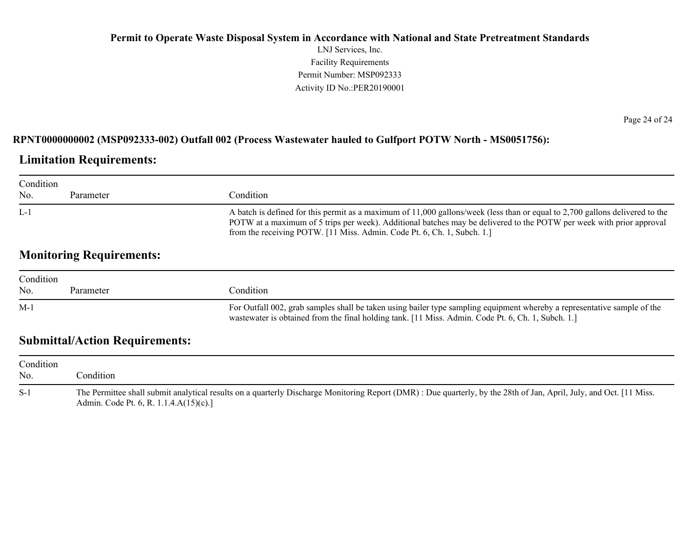### **Permit to Operate Waste Disposal System in Accordance with National and State Pretreatment Standards** LNJ Services, Inc. Facility Requirements Permit Number: MSP092333 Activity ID No.:PER20190001

### **RPNT0000000002 (MSP092333-002) Outfall 002 (Process Wastewater hauled to Gulfport POTW North - MS0051756):**

### **Limitation Requirements:**

| Condition |           |                                                                                                                                                                                                                                                                                                                                 |
|-----------|-----------|---------------------------------------------------------------------------------------------------------------------------------------------------------------------------------------------------------------------------------------------------------------------------------------------------------------------------------|
| No.       | Parameter | Condition:                                                                                                                                                                                                                                                                                                                      |
| L-1       |           | A batch is defined for this permit as a maximum of 11,000 gallons/week (less than or equal to 2,700 gallons delivered to the<br>POTW at a maximum of 5 trips per week). Additional batches may be delivered to the POTW per week with prior approval<br>from the receiving POTW. [11 Miss. Admin. Code Pt. 6, Ch. 1, Subch. 1.] |

## **Monitoring Requirements:**

| Condition |           |                                                                                                                                                                                                                                |
|-----------|-----------|--------------------------------------------------------------------------------------------------------------------------------------------------------------------------------------------------------------------------------|
| No.       | Parameter | condition.                                                                                                                                                                                                                     |
| $M-1$     |           | For Outfall 002, grab samples shall be taken using bailer type sampling equipment whereby a representative sample of the<br>wastewater is obtained from the final holding tank. [11 Miss. Admin. Code Pt. 6, Ch. 1, Subch. 1.] |

## **Submittal/Action Requirements:**

| Condition<br>No. | condition.                                                                                                                                                                                                         |
|------------------|--------------------------------------------------------------------------------------------------------------------------------------------------------------------------------------------------------------------|
| $S-1$            | The Permittee shall submit analytical results on a quarterly Discharge Monitoring Report (DMR) : Due quarterly, by the 28th of Jan, April, July, and Oct. [11 Miss.]<br>Admin. Code Pt. 6, R. 1.1.4. $A(15)(c)$ .] |